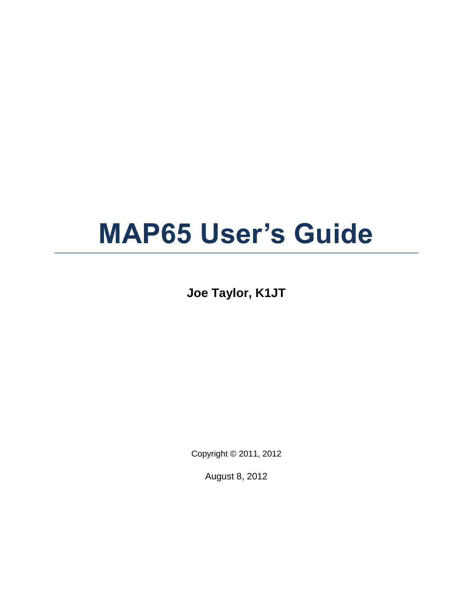# **MAP65 User's Guide**

**Joe Taylor, K1JT**

Copyright © 2011, 2012

August 8, 2012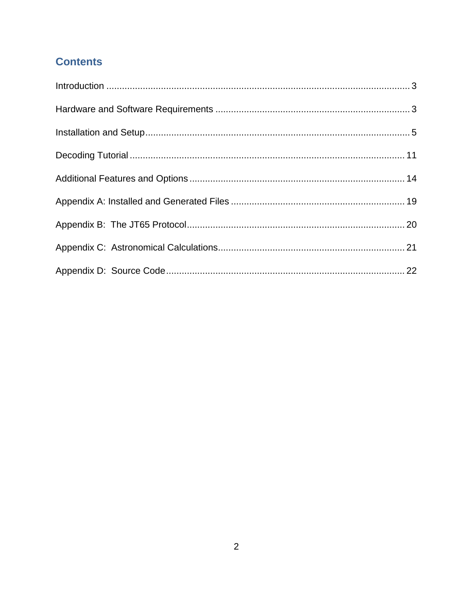# **Contents**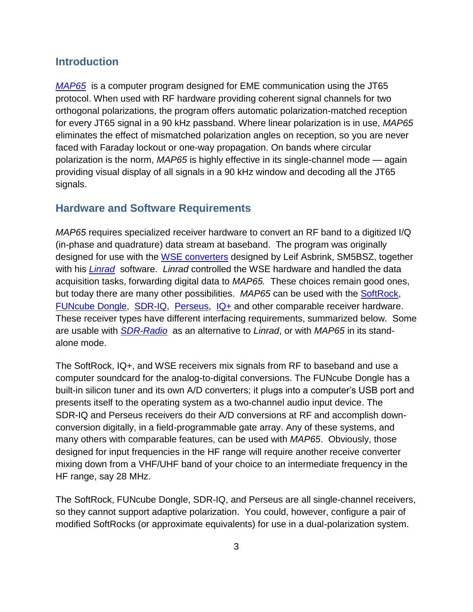#### <span id="page-2-0"></span>**Introduction**

*[MAP65](http://physics.princeton.edu/pulsar/K1JT/map65.html)* is a computer program designed for EME communication using the JT65 protocol. When used with RF hardware providing coherent signal channels for two orthogonal polarizations, the program offers automatic polarization-matched reception for every JT65 signal in a 90 kHz passband. Where linear polarization is in use, *MAP65* eliminates the effect of mismatched polarization angles on reception, so you are never faced with Faraday lockout or one-way propagation. On bands where circular polarization is the norm, *MAP65* is highly effective in its single-channel mode — again providing visual display of all signals in a 90 kHz window and decoding all the JT65 signals.

#### <span id="page-2-1"></span>**Hardware and Software Requirements**

*MAP65* requires specialized receiver hardware to convert an RF band to a digitized I/Q (in-phase and quadrature) data stream at baseband. The program was originally designed for use with the WSE [converters](http://www.sm5bsz.com/linuxdsp/linrad.htm) designed by Leif Asbrink, SM5BSZ, together with his *[Linrad](http://www.sm5bsz.com/linuxdsp/linrad.htm)* software. *Linrad* controlled the WSE hardware and handled the data acquisition tasks, forwarding digital data to *MAP65.* These choices remain good ones, but today there are many other possibilities. *MAP65* can be used with the [SoftRock,](http://kb9yig.com/) [FUNcube Dongle,](http://www.funcubedongle.com/) [SDR-IQ,](http://www.rfspace.com/) [Perseus,](http://microtelecom.it/perseus/) [IQ+](http://www.linkrf.ch/) and other comparable receiver hardware. These receiver types have different interfacing requirements, summarized below. Some are usable with *[SDR-Radio](http://sdr-radio.com/)* as an alternative to *Linrad*, or with *MAP65* in its standalone mode.

The SoftRock, IQ+, and WSE receivers mix signals from RF to baseband and use a computer soundcard for the analog-to-digital conversions. The FUNcube Dongle has a built-in silicon tuner and its own A/D converters; it plugs into a computer's USB port and presents itself to the operating system as a two-channel audio input device. The SDR-IQ and Perseus receivers do their A/D conversions at RF and accomplish downconversion digitally, in a field-programmable gate array. Any of these systems, and many others with comparable features, can be used with *MAP65*. Obviously, those designed for input frequencies in the HF range will require another receive converter mixing down from a VHF/UHF band of your choice to an intermediate frequency in the HF range, say 28 MHz.

The SoftRock, FUNcube Dongle, SDR-IQ, and Perseus are all single-channel receivers, so they cannot support adaptive polarization. You could, however, configure a pair of modified SoftRocks (or approximate equivalents) for use in a dual-polarization system.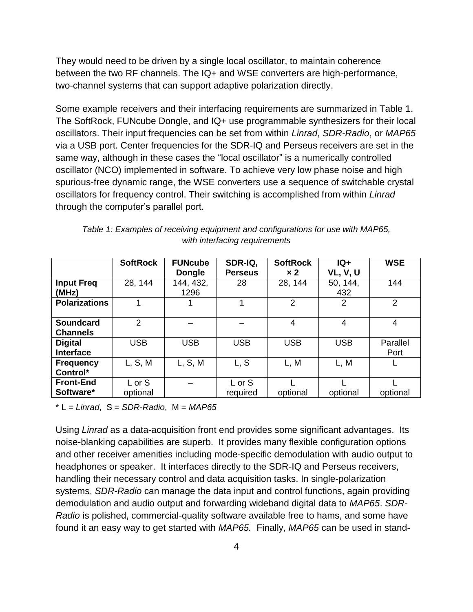They would need to be driven by a single local oscillator, to maintain coherence between the two RF channels. The IQ+ and WSE converters are high-performance, two-channel systems that can support adaptive polarization directly.

Some example receivers and their interfacing requirements are summarized in Table 1. The SoftRock, FUNcube Dongle, and IQ+ use programmable synthesizers for their local oscillators. Their input frequencies can be set from within *Linrad*, *SDR-Radio*, or *MAP65* via a USB port. Center frequencies for the SDR-IQ and Perseus receivers are set in the same way, although in these cases the "local oscillator" is a numerically controlled oscillator (NCO) implemented in software. To achieve very low phase noise and high spurious-free dynamic range, the WSE converters use a sequence of switchable crystal oscillators for frequency control. Their switching is accomplished from within *Linrad* through the computer's parallel port.

|                                     | <b>SoftRock</b>    | <b>FUNcube</b><br><b>Dongle</b> | SDR-IQ,<br><b>Perseus</b> | <b>SoftRock</b><br>$\times 2$ | $IQ+$<br><b>VL, V, U</b> | <b>WSE</b>       |
|-------------------------------------|--------------------|---------------------------------|---------------------------|-------------------------------|--------------------------|------------------|
| <b>Input Freq</b><br>(MHz)          | 28, 144            | 144, 432,<br>1296               | 28                        | 28, 144                       | 50, 144,<br>432          | 144              |
| <b>Polarizations</b>                |                    |                                 |                           | 2                             | 2                        | 2                |
| <b>Soundcard</b><br><b>Channels</b> | 2                  |                                 |                           | 4                             | 4                        | 4                |
| <b>Digital</b><br><b>Interface</b>  | <b>USB</b>         | <b>USB</b>                      | <b>USB</b>                | <b>USB</b>                    | <b>USB</b>               | Parallel<br>Port |
| <b>Frequency</b><br>Control*        | L, S, M            | L, S, M                         | L, S                      | L, M                          | L, M                     |                  |
| <b>Front-End</b><br>Software*       | L or S<br>optional |                                 | L or S<br>required        | optional                      | optional                 | optional         |

*Table 1: Examples of receiving equipment and configurations for use with MAP65, with interfacing requirements*

\* L = *Linrad*, S = *SDR-Radio*, M = *MAP65*

Using *Linrad* as a data-acquisition front end provides some significant advantages. Its noise-blanking capabilities are superb. It provides many flexible configuration options and other receiver amenities including mode-specific demodulation with audio output to headphones or speaker. It interfaces directly to the SDR-IQ and Perseus receivers, handling their necessary control and data acquisition tasks. In single-polarization systems, *SDR-Radio* can manage the data input and control functions, again providing demodulation and audio output and forwarding wideband digital data to *MAP65*. *SDR-Radio* is polished, commercial-quality software available free to hams, and some have found it an easy way to get started with *MAP65.* Finally, *MAP65* can be used in stand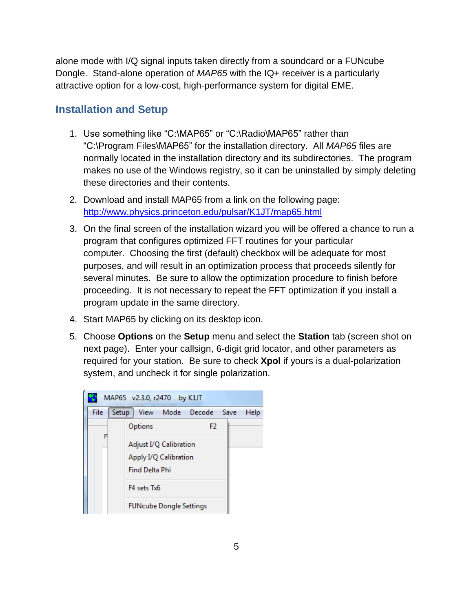alone mode with I/Q signal inputs taken directly from a soundcard or a FUNcube Dongle. Stand-alone operation of *MAP65* with the IQ+ receiver is a particularly attractive option for a low-cost, high-performance system for digital EME.

## <span id="page-4-0"></span>**Installation and Setup**

- 1. Use something like "C:\MAP65" or "C:\Radio\MAP65" rather than "C:\Program Files\MAP65" for the installation directory. All *MAP65* files are normally located in the installation directory and its subdirectories. The program makes no use of the Windows registry, so it can be uninstalled by simply deleting these directories and their contents.
- 2. Download and install MAP65 from a link on the following page: <http://www.physics.princeton.edu/pulsar/K1JT/map65.html>
- 3. On the final screen of the installation wizard you will be offered a chance to run a program that configures optimized FFT routines for your particular computer. Choosing the first (default) checkbox will be adequate for most purposes, and will result in an optimization process that proceeds silently for several minutes. Be sure to allow the optimization procedure to finish before proceeding. It is not necessary to repeat the FFT optimization if you install a program update in the same directory.
- 4. Start MAP65 by clicking on its desktop icon.
- 5. Choose **Options** on the **Setup** menu and select the **Station** tab (screen shot on next page). Enter your callsign, 6-digit grid locator, and other parameters as required for your station. Be sure to check **Xpol** if yours is a dual-polarization system, and uncheck it for single polarization.

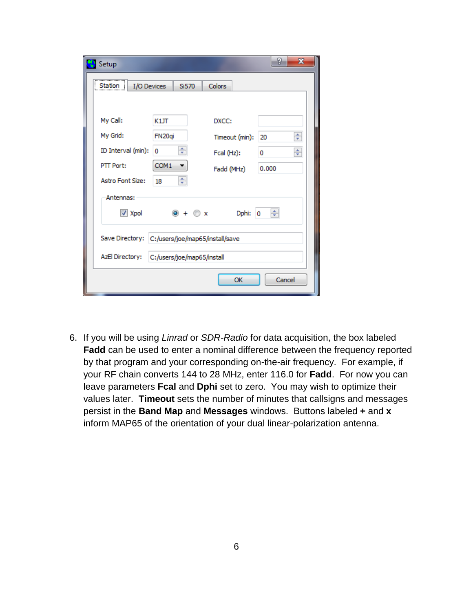| Setup                                           |                    |                | ?<br>$\mathbf x$ |  |  |  |  |  |
|-------------------------------------------------|--------------------|----------------|------------------|--|--|--|--|--|
| Station:<br>I/O Devices                         | Si570              | Colors         |                  |  |  |  |  |  |
|                                                 |                    |                |                  |  |  |  |  |  |
| My Call:                                        | K1JT               | DXCC:          |                  |  |  |  |  |  |
| My Grid:                                        | FN <sub>20qi</sub> | Timeout (min): | ÷<br>20          |  |  |  |  |  |
| ID Interval (min):                              | ÷<br>0             | Fcal (Hz):     | ÷<br>0           |  |  |  |  |  |
| PTT Port:                                       | COM1               | Fadd (MHz)     | 0.000            |  |  |  |  |  |
| <b>Astro Font Size:</b>                         | ÷<br>18            |                |                  |  |  |  |  |  |
| Antennas:                                       |                    |                |                  |  |  |  |  |  |
| $\triangledown$ Xpol                            | $\odot + \odot x$  | Dphi:          | ÷<br>0           |  |  |  |  |  |
| Save Directory: C:/users/joe/map65/install/save |                    |                |                  |  |  |  |  |  |
| AzEl Directory: C:/users/joe/map65/install      |                    |                |                  |  |  |  |  |  |
|                                                 |                    | OK             | Cancel           |  |  |  |  |  |

6. If you will be using *Linrad* or *SDR-Radio* for data acquisition, the box labeled **Fadd** can be used to enter a nominal difference between the frequency reported by that program and your corresponding on-the-air frequency. For example, if your RF chain converts 144 to 28 MHz, enter 116.0 for **Fadd**. For now you can leave parameters **Fcal** and **Dphi** set to zero. You may wish to optimize their values later. **Timeout** sets the number of minutes that callsigns and messages persist in the **Band Map** and **Messages** windows. Buttons labeled **+** and **x** inform MAP65 of the orientation of your dual linear-polarization antenna.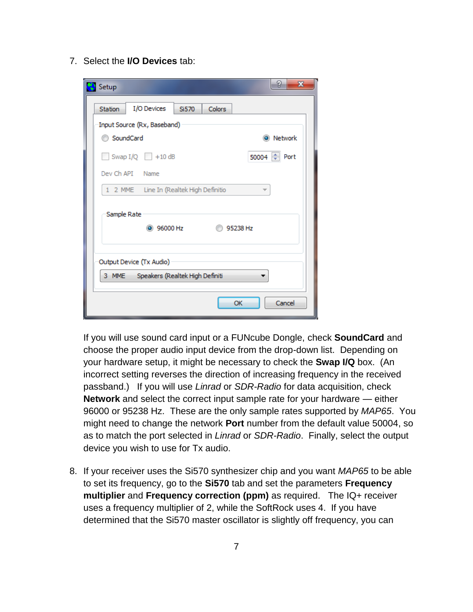7. Select the **I/O Devices** tab:

| Setup                                    |                                       |        | 2<br>$\mathbf{x}$    |  |  |  |  |  |
|------------------------------------------|---------------------------------------|--------|----------------------|--|--|--|--|--|
| <b>Station</b>                           | I/O Devices<br>Si570                  | Colors |                      |  |  |  |  |  |
|                                          | Input Source (Rx, Baseband)           |        |                      |  |  |  |  |  |
| SoundCard                                |                                       |        | Network<br>$\bullet$ |  |  |  |  |  |
|                                          | Swap $I/Q$ +10 dB                     |        | 50004 - Port         |  |  |  |  |  |
|                                          | Dev Ch API Name                       |        |                      |  |  |  |  |  |
|                                          | 2 MME Line In (Realtek High Definitio |        |                      |  |  |  |  |  |
| Sample Rate                              |                                       |        |                      |  |  |  |  |  |
|                                          | 36000 Hz                              |        | 95238 Hz             |  |  |  |  |  |
|                                          |                                       |        |                      |  |  |  |  |  |
| Output Device (Tx Audio)                 |                                       |        |                      |  |  |  |  |  |
| Speakers (Realtek High Definiti<br>3 MME |                                       |        |                      |  |  |  |  |  |
|                                          |                                       |        | Cancel<br>OK         |  |  |  |  |  |

If you will use sound card input or a FUNcube Dongle, check **SoundCard** and choose the proper audio input device from the drop-down list. Depending on your hardware setup, it might be necessary to check the **Swap I/Q** box. (An incorrect setting reverses the direction of increasing frequency in the received passband.) If you will use *Linrad* or *SDR-Radio* for data acquisition, check **Network** and select the correct input sample rate for your hardware — either 96000 or 95238 Hz. These are the only sample rates supported by *MAP65*. You might need to change the network **Port** number from the default value 50004, so as to match the port selected in *Linrad* or *SDR-Radio*. Finally, select the output device you wish to use for Tx audio.

8. If your receiver uses the Si570 synthesizer chip and you want *MAP65* to be able to set its frequency, go to the **Si570** tab and set the parameters **Frequency multiplier** and **Frequency correction (ppm)** as required. The IQ+ receiver uses a frequency multiplier of 2, while the SoftRock uses 4. If you have determined that the Si570 master oscillator is slightly off frequency, you can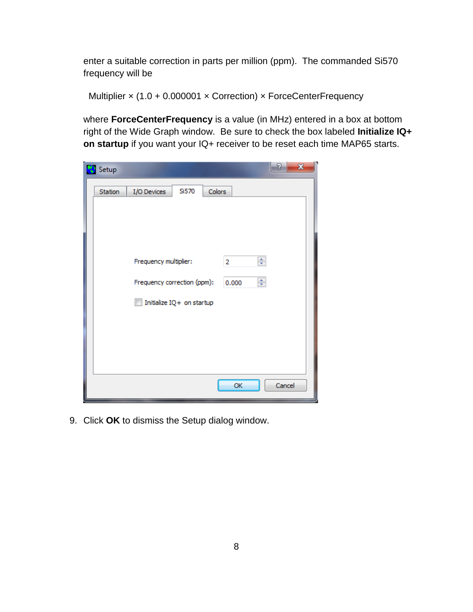enter a suitable correction in parts per million (ppm). The commanded Si570 frequency will be

Multiplier x (1.0 + 0.000001 x Correction) x ForceCenterFrequency

where **ForceCenterFrequency** is a value (in MHz) entered in a box at bottom right of the Wide Graph window. Be sure to check the box labeled **Initialize IQ+ on startup** if you want your IQ+ receiver to be reset each time MAP65 starts.

| $\mathbf{x}$<br>P<br>Setup                                                   |
|------------------------------------------------------------------------------|
| Si570<br>Colors<br>I/O Devices<br>Station                                    |
| ÷<br>Frequency multiplier:<br>2<br>÷<br>Frequency correction (ppm):<br>0.000 |
| Initialize IQ+ on startup                                                    |
|                                                                              |
| OK<br>Cancel                                                                 |

9. Click **OK** to dismiss the Setup dialog window.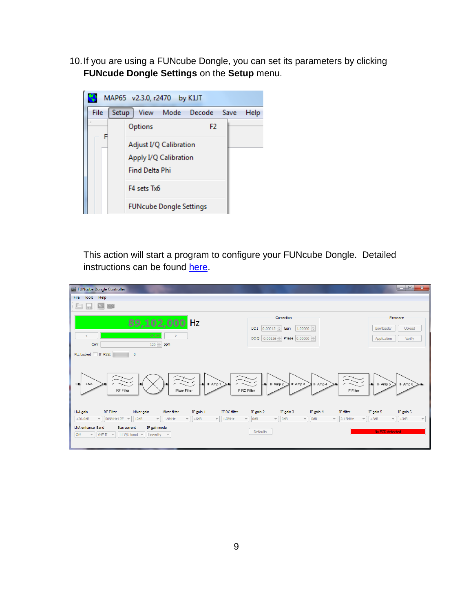10.If you are using a FUNcube Dongle, you can set its parameters by clicking **FUNcude Dongle Settings** on the **Setup** menu.



This action will start a program to configure your FUNcube Dongle. Detailed instructions can be found [here.](http://www.oz9aec.net/index.php/funcube-dongle/qthid-fcd-controller)

| FUNcube Dongle Controller                                                                                                                                                                                                                                                                                                                                                                                                                                                |                                                                                                                                                                                                  | $\Box$ e<br>$\mathbf{x}$                                                                                             |
|--------------------------------------------------------------------------------------------------------------------------------------------------------------------------------------------------------------------------------------------------------------------------------------------------------------------------------------------------------------------------------------------------------------------------------------------------------------------------|--------------------------------------------------------------------------------------------------------------------------------------------------------------------------------------------------|----------------------------------------------------------------------------------------------------------------------|
| File<br>Tools Help                                                                                                                                                                                                                                                                                                                                                                                                                                                       |                                                                                                                                                                                                  |                                                                                                                      |
| $\overline{a}$ and                                                                                                                                                                                                                                                                                                                                                                                                                                                       |                                                                                                                                                                                                  |                                                                                                                      |
| 89,102,000 Hz<br>25.00<br>é<br>-120 $\frac{1}{2}$ ppm<br>Corr                                                                                                                                                                                                                                                                                                                                                                                                            | Correction<br>DC I $\left 0.00015\right $ Gain $\left 1.00000\right $<br>DCQ -0.00116 Phase 0.00000                                                                                              | Firmware<br>Upload<br>Bootloader<br>Application<br>Verify                                                            |
| PLL Locked FF RSSI<br>$\circ$<br>⊢<br>IF Amp 1<br>LNA<br><b>RF</b> Filter<br>IF RC Filter<br>Mixer Filter                                                                                                                                                                                                                                                                                                                                                                | ↳<br>IF Amp 2<br>IF Amp 3<br>IF Amp 4<br>IF Filter                                                                                                                                               | L<br>IF Amp 5<br>IF Amp 6                                                                                            |
| Mixer filter<br>IF RC filter<br><b>RF Filter</b><br>IF gain 1<br>LNA gain<br>Mixer gain<br>$+20.0dB$<br>509MHz LPF<br>12dB<br>1.9MHz<br>$+6dB$<br>1.0MHz<br>$\overline{\phantom{a}}$<br>$\overline{\phantom{a}}$<br>$\;$ $\;$<br>$\sim$<br>$\overline{\phantom{a}}$<br>$\overline{\phantom{a}}$<br>LNA enhance Band<br>IF gain mode<br><b>Bias current</b><br><b>off</b><br>11 V/U band $\sqrt{ }$<br>VHF II<br>Linearity $\sim$<br>$\overline{\nabla}$<br>$\rightarrow$ | IF filter<br>IF gain 2<br>IF gain 3<br>IF gain 4<br>$\overline{\phantom{a}}$<br>0dB<br>OdB<br>$\sim$<br><b>OdB</b><br>2.15MHz<br>$\overline{\mathbf{v}}$<br>$\overline{\phantom{a}}$<br>Defaults | IF gain 5<br>IF gain 6<br>$+3dB$<br>$+3dB$<br>$\overline{\phantom{a}}$<br>$\overline{\mathbf{v}}$<br>No FCD detected |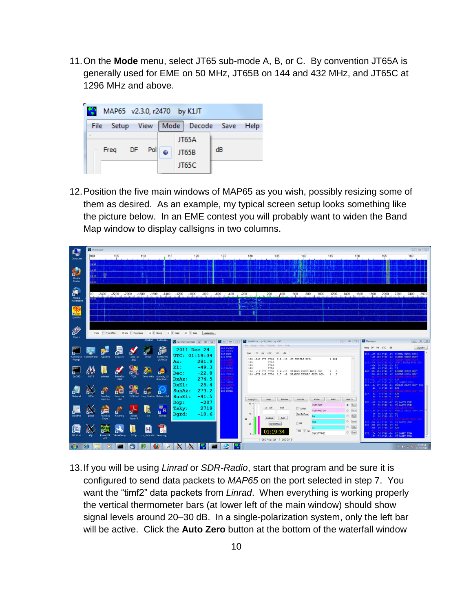11.On the **Mode** menu, select JT65 sub-mode A, B, or C. By convention JT65A is generally used for EME on 50 MHz, JT65B on 144 and 432 MHz, and JT65C at 1296 MHz and above.



12.Position the five main windows of MAP65 as you wish, possibly resizing some of them as desired. As an example, my typical screen setup looks something like the picture below. In an EME contest you will probably want to widen the Band Map window to display callsigns in two columns.



13.If you will be using *Linrad* or *SDR-Radio*, start that program and be sure it is configured to send data packets to *MAP65* on the port selected in step 7. You want the "timf2" data packets from *Linrad*. When everything is working properly the vertical thermometer bars (at lower left of the main window) should show signal levels around 20–30 dB. In a single-polarization system, only the left bar will be active. Click the **Auto Zero** button at the bottom of the waterfall window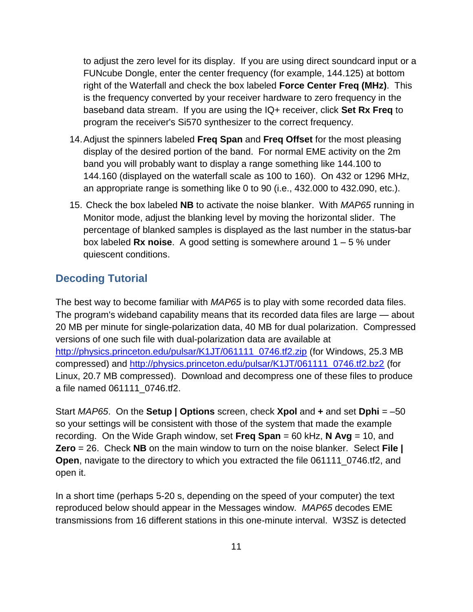to adjust the zero level for its display. If you are using direct soundcard input or a FUNcube Dongle, enter the center frequency (for example, 144.125) at bottom right of the Waterfall and check the box labeled **Force Center Freq (MHz)**. This is the frequency converted by your receiver hardware to zero frequency in the baseband data stream. If you are using the IQ+ receiver, click **Set Rx Freq** to program the receiver's Si570 synthesizer to the correct frequency.

- 14.Adjust the spinners labeled **Freq Span** and **Freq Offset** for the most pleasing display of the desired portion of the band. For normal EME activity on the 2m band you will probably want to display a range something like 144.100 to 144.160 (displayed on the waterfall scale as 100 to 160). On 432 or 1296 MHz, an appropriate range is something like 0 to 90 (i.e., 432.000 to 432.090, etc.).
- 15. Check the box labeled **NB** to activate the noise blanker. With *MAP65* running in Monitor mode, adjust the blanking level by moving the horizontal slider. The percentage of blanked samples is displayed as the last number in the status-bar box labeled **Rx noise**. A good setting is somewhere around 1 – 5 % under quiescent conditions.

### <span id="page-10-0"></span>**Decoding Tutorial**

The best way to become familiar with *MAP65* is to play with some recorded data files. The program's wideband capability means that its recorded data files are large — about 20 MB per minute for single-polarization data, 40 MB for dual polarization. Compressed versions of one such file with dual-polarization data are available at [http://physics.princeton.edu/pulsar/K1JT/061111\\_0746.tf2.zip](http://physics.princeton.edu/pulsar/K1JT/061111_0746.tf2.zip) (for Windows, 25.3 MB compressed) and [http://physics.princeton.edu/pulsar/K1JT/061111\\_0746.tf2.bz2](http://physics.princeton.edu/pulsar/K1JT/061111_0746.tf2.bz2) (for Linux, 20.7 MB compressed). Download and decompress one of these files to produce a file named 061111\_0746.tf2.

Start *MAP65*. On the **Setup | Options** screen, check **Xpol** and **+** and set **Dphi** = –50 so your settings will be consistent with those of the system that made the example recording. On the Wide Graph window, set **Freq Span** = 60 kHz, **N Avg** = 10, and **Zero** = 26. Check **NB** on the main window to turn on the noise blanker. Select **File | Open**, navigate to the directory to which you extracted the file 061111\_0746.tf2, and open it.

In a short time (perhaps 5-20 s, depending on the speed of your computer) the text reproduced below should appear in the Messages window. *MAP65* decodes EME transmissions from 16 different stations in this one-minute interval. W3SZ is detected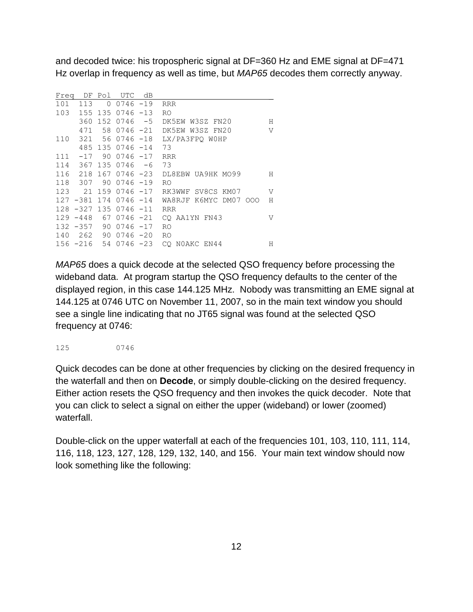and decoded twice: his tropospheric signal at DF=360 Hz and EME signal at DF=471 Hz overlap in frequency as well as time, but *MAP65* decodes them correctly anyway.

| Freq | DF          | Pol      | <b>UTC</b>     | dB   |                       |                |
|------|-------------|----------|----------------|------|-----------------------|----------------|
| 101  | 113         | $\Omega$ | $0746 - 19$    |      | <b>RRR</b>            |                |
| 103  | 155         |          | $1350746 - 13$ |      | R <sub>O</sub>        |                |
|      | 360         |          | 152 0746       | $-5$ | DK5EW W3SZ FN20       | Н              |
|      | 471         | 58       | $0746 - 21$    |      | DK5EW W3SZ FN20       | $\overline{V}$ |
| 110  | 321         |          | 56 0746 -18    |      | LX/PA3FPO WOHP        |                |
|      | 485         |          | $1350746 - 14$ |      | 73                    |                |
| 111  | $-17$       | 90       | $0746 - 17$    |      | <b>RRR</b>            |                |
| 114  | 367         |          | 135 0746       | $-6$ | 73                    |                |
| 116  | 218         |          | 167 0746 -23   |      | DL8EBW UA9HK MO99     | Н              |
| 118  | 307         | 90       | $0746 - 19$    |      | R0                    |                |
|      | 123 21      |          | 159 0746 -17   |      | RK3WWF SV8CS KM07     | V              |
|      | $127 - 381$ |          | $1740746 - 14$ |      | WA8RJF K6MYC DM07 000 | Н              |
|      | $128 - 327$ | 135      | $0746 - 11$    |      | <b>RRR</b>            |                |
|      | $129 - 448$ | 67       | $0746 - 21$    |      | CO AA1YN FN43         | V              |
|      | $132 - 357$ | 90       | $0746 - 17$    |      | R0                    |                |
| 140  | 262         | 90       | $0746 - 20$    |      | R0                    |                |
|      | $156 - 216$ |          | 54 0746 -23    |      | CO NOAKC EN44         | Н              |

*MAP65* does a quick decode at the selected QSO frequency before processing the wideband data. At program startup the QSO frequency defaults to the center of the displayed region, in this case 144.125 MHz. Nobody was transmitting an EME signal at 144.125 at 0746 UTC on November 11, 2007, so in the main text window you should see a single line indicating that no JT65 signal was found at the selected QSO frequency at 0746:

125 0746

Quick decodes can be done at other frequencies by clicking on the desired frequency in the waterfall and then on **Decode**, or simply double-clicking on the desired frequency. Either action resets the QSO frequency and then invokes the quick decoder. Note that you can click to select a signal on either the upper (wideband) or lower (zoomed) waterfall.

Double-click on the upper waterfall at each of the frequencies 101, 103, 110, 111, 114, 116, 118, 123, 127, 128, 129, 132, 140, and 156. Your main text window should now look something like the following: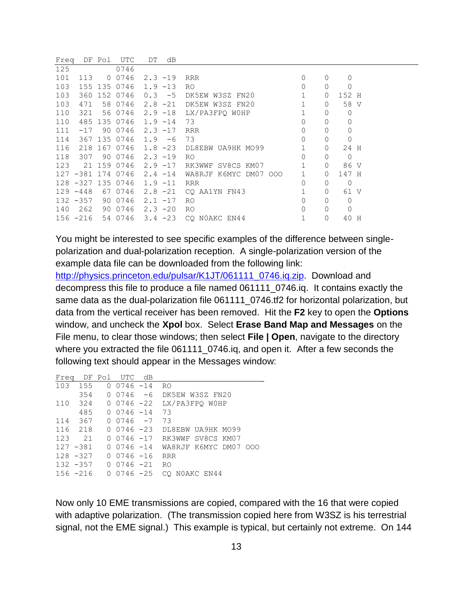| Freq |             | DF Pol | UTC               | DT         | dB |                       |              |             |             |   |
|------|-------------|--------|-------------------|------------|----|-----------------------|--------------|-------------|-------------|---|
| 125  |             |        | 0746              |            |    |                       |              |             |             |   |
| 101  | 113         |        | 0 0 7 4 6         | $2.3 - 19$ |    | RRR                   | 0            | 0           | $\Omega$    |   |
| 103  |             |        | 155 135 0746      | $1.9 - 13$ |    | R0                    | $\Omega$     | 0           | 0           |   |
| 103  | 360         |        | 152 0746          | $0.3 - 5$  |    | DK5EW W3SZ FN20       | $\mathbf{1}$ | $\circ$     | 152 H       |   |
| 103  | 471         |        | 58 0746           | $2.8 - 21$ |    | DK5EW W3SZ FN20       | $\mathbf{1}$ | 0           | 58 V        |   |
| 110  | 321         |        | 56 0746           | $2.9 - 18$ |    | LX/PA3FPO WOHP        | $\mathbf{1}$ | 0           | 0           |   |
| 110  |             |        | 485 135 0746      | $1.9 - 14$ |    | 73                    | $\Omega$     | $\Omega$    | 0           |   |
| 111  | $-17$       |        | 90 0746           | $2.3 - 17$ |    | <b>RRR</b>            | $\Omega$     | $\Omega$    | $\Omega$    |   |
| 114  |             |        | 367 135 0746      | $1.9 - 6$  |    | 73                    | $\Omega$     | $\circ$     | 0           |   |
| 116  | 218         |        | 167 0746          | $1.8 - 23$ |    | DL8EBW UA9HK MO99     | $\mathbf{1}$ | $\circ$     | 24 H        |   |
| 118  | 307         |        | 90 0746           | $2.3 - 19$ |    | R0                    | $\Omega$     | $\circ$     | $\circ$     |   |
| 123  |             |        | 21 159 0746       | $2.9 - 17$ |    | RK3WWF SV8CS KM07     | 1            | $\circ$     | 86 V        |   |
|      |             |        | 127 -381 174 0746 | $2.4 - 14$ |    | WA8RJF K6MYC DM07 000 | $\mathbf{1}$ | $\circ$     | 147 H       |   |
|      |             |        | 128 -327 135 0746 | $1.9 - 11$ |    | <b>RRR</b>            | $\Omega$     | $\circ$     | $\mathbf 0$ |   |
|      | $129 - 448$ |        | 67 0746           | $2.8 - 21$ |    | CO AA1YN FN43         |              | $\circ$     | 61 V        |   |
|      | $132 - 357$ |        | 90 0746           | $2.1 - 17$ |    | RO.                   | $\Omega$     | $\circ$     | 0           |   |
| 140  | 262         |        | 90 0746           | $2.3 - 20$ |    | R0                    | $\Omega$     | $\circ$     | $\circ$     |   |
|      | 156 -216    |        | 54 0746           | $3.4 - 23$ |    | CO NOAKC EN44         | $\mathbf 1$  | $\mathbf 0$ | 40          | H |

You might be interested to see specific examples of the difference between singlepolarization and dual-polarization reception. A single-polarization version of the example data file can be downloaded from the following link:

[http://physics.princeton.edu/pulsar/K1JT/061111\\_0746.iq.zip.](http://physics.princeton.edu/pulsar/K1JT/061111_0746.iq.zip) Download and decompress this file to produce a file named 061111\_0746.iq. It contains exactly the same data as the dual-polarization file 061111\_0746.tf2 for horizontal polarization, but data from the vertical receiver has been removed. Hit the **F2** key to open the **Options** window, and uncheck the **Xpol** box. Select **Erase Band Map and Messages** on the File menu, to clear those windows; then select **File | Open**, navigate to the directory where you extracted the file 061111\_0746.iq, and open it. After a few seconds the following text should appear in the Messages window:

|             | Freq DF Pol UTC dB     |                              |
|-------------|------------------------|------------------------------|
|             | 103 155 0 0746 -14     | RO.                          |
|             | $354$ 0 0746 -6        | DK5EW W3SZ FN20              |
|             | $110$ 324 0 0746 -22   | LX/PA3FPQ WOHP               |
|             | $485 \t 0 \t 0746 -14$ | 73                           |
| 114 367     | $0.0746 - 7$           | 73                           |
| 116 218     | $0.0746 - 23$          | DL8EBW UA9HK MO99            |
| 123 21      |                        | 0 0746 -17 RK3WWF SV8CS KM07 |
| $127 - 381$ | 0 0746 -14             | WA8RJF K6MYC DM07 000        |
| $128 - 327$ | 0 0746 -16             | <b>RRR</b>                   |
|             | $132 - 357$ 0 0746 -21 | RO.                          |
| $156 - 216$ | 0 0746 -25             | CO NOAKC EN44                |

Now only 10 EME transmissions are copied, compared with the 16 that were copied with adaptive polarization. (The transmission copied here from W3SZ is his terrestrial signal, not the EME signal.) This example is typical, but certainly not extreme. On 144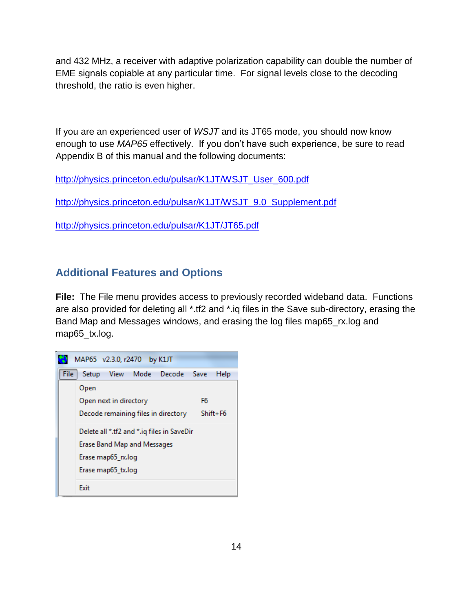and 432 MHz, a receiver with adaptive polarization capability can double the number of EME signals copiable at any particular time. For signal levels close to the decoding threshold, the ratio is even higher.

If you are an experienced user of *WSJT* and its JT65 mode, you should now know enough to use *MAP65* effectively. If you don't have such experience, be sure to read Appendix B of this manual and the following documents:

[http://physics.princeton.edu/pulsar/K1JT/WSJT\\_User\\_600.pdf](http://physics.princeton.edu/pulsar/K1JT/WSJT_User_600.pdf)

[http://physics.princeton.edu/pulsar/K1JT/WSJT\\_9.0\\_Supplement.pdf](http://physics.princeton.edu/pulsar/K1JT/WSJT_9.0_Supplement.pdf)

<http://physics.princeton.edu/pulsar/K1JT/JT65.pdf>

# <span id="page-13-0"></span>**Additional Features and Options**

**File:** The File menu provides access to previously recorded wideband data. Functions are also provided for deleting all \*.tf2 and \*.iq files in the Save sub-directory, erasing the Band Map and Messages windows, and erasing the log files map65\_rx.log and map65\_tx.log.

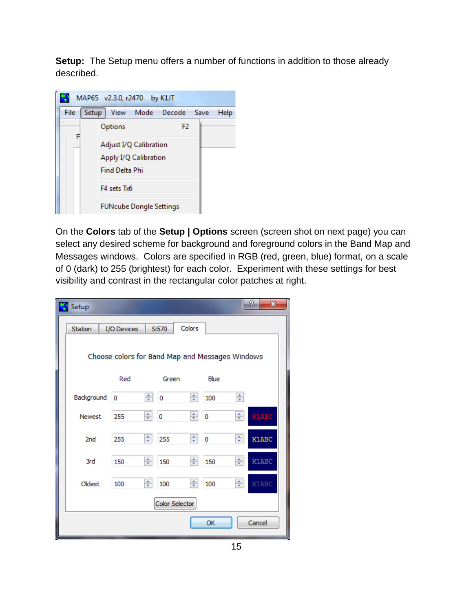**Setup:** The Setup menu offers a number of functions in addition to those already described.



On the **Colors** tab of the **Setup | Options** screen (screen shot on next page) you can select any desired scheme for background and foreground colors in the Band Map and Messages windows. Colors are specified in RGB (red, green, blue) format, on a scale of 0 (dark) to 255 (brightest) for each color. Experiment with these settings for best visibility and contrast in the rectangular color patches at right.

| Setup                                           |              |   |                         |        |                         |   | P<br>$\mathbf{x}$ |  |  |  |  |
|-------------------------------------------------|--------------|---|-------------------------|--------|-------------------------|---|-------------------|--|--|--|--|
| Station                                         | I/O Devices  |   | Si570                   | Colors |                         |   |                   |  |  |  |  |
| Choose colors for Band Map and Messages Windows |              |   |                         |        |                         |   |                   |  |  |  |  |
|                                                 | Red          |   | Green                   |        | Blue                    |   |                   |  |  |  |  |
| Background                                      | 0            | ÷ | $\overline{\mathbf{0}}$ | ÷      | 100                     | ÷ |                   |  |  |  |  |
| <b>Newest</b>                                   | 255          | ÷ | $\mathbf{0}$            | ÷      | 0                       | ÷ | кілвс             |  |  |  |  |
| 2nd                                             | 255          | ÷ | 255                     | ÷      | $\overline{\mathbf{0}}$ | ÷ | K1ABC             |  |  |  |  |
| 3rd                                             | 150          | ÷ | 150                     | ÷      | 150                     | ÷ | K1ABC             |  |  |  |  |
| Oldest                                          | 100          | ÷ | 100                     | ÷      | 100                     | ÷ | K1ABC             |  |  |  |  |
|                                                 |              |   | Color Selector          |        |                         |   |                   |  |  |  |  |
|                                                 | OK<br>Cancel |   |                         |        |                         |   |                   |  |  |  |  |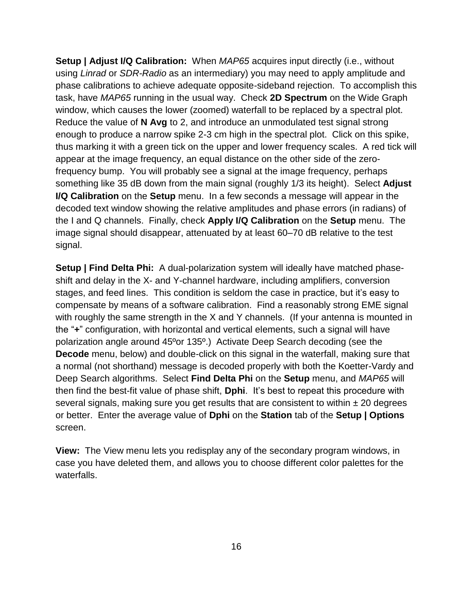**Setup | Adjust I/Q Calibration:** When *MAP65* acquires input directly (i.e., without using *Linrad* or *SDR-Radio* as an intermediary) you may need to apply amplitude and phase calibrations to achieve adequate opposite-sideband rejection. To accomplish this task, have *MAP65* running in the usual way. Check **2D Spectrum** on the Wide Graph window, which causes the lower (zoomed) waterfall to be replaced by a spectral plot. Reduce the value of **N Avg** to 2, and introduce an unmodulated test signal strong enough to produce a narrow spike 2-3 cm high in the spectral plot. Click on this spike, thus marking it with a green tick on the upper and lower frequency scales. A red tick will appear at the image frequency, an equal distance on the other side of the zerofrequency bump. You will probably see a signal at the image frequency, perhaps something like 35 dB down from the main signal (roughly 1/3 its height). Select **Adjust I/Q Calibration** on the **Setup** menu. In a few seconds a message will appear in the decoded text window showing the relative amplitudes and phase errors (in radians) of the I and Q channels. Finally, check **Apply I/Q Calibration** on the **Setup** menu. The image signal should disappear, attenuated by at least 60–70 dB relative to the test signal.

**Setup | Find Delta Phi:** A dual-polarization system will ideally have matched phaseshift and delay in the X- and Y-channel hardware, including amplifiers, conversion stages, and feed lines. This condition is seldom the case in practice, but it's easy to compensate by means of a software calibration. Find a reasonably strong EME signal with roughly the same strength in the X and Y channels. (If your antenna is mounted in the "**+**" configuration, with horizontal and vertical elements, such a signal will have polarization angle around 45ºor 135º.) Activate Deep Search decoding (see the **Decode** menu, below) and double-click on this signal in the waterfall, making sure that a normal (not shorthand) message is decoded properly with both the Koetter-Vardy and Deep Search algorithms. Select **Find Delta Phi** on the **Setup** menu, and *MAP65* will then find the best-fit value of phase shift, **Dphi**. It's best to repeat this procedure with several signals, making sure you get results that are consistent to within  $\pm 20$  degrees or better. Enter the average value of **Dphi** on the **Station** tab of the **Setup | Options** screen.

**View:** The View menu lets you redisplay any of the secondary program windows, in case you have deleted them, and allows you to choose different color palettes for the waterfalls.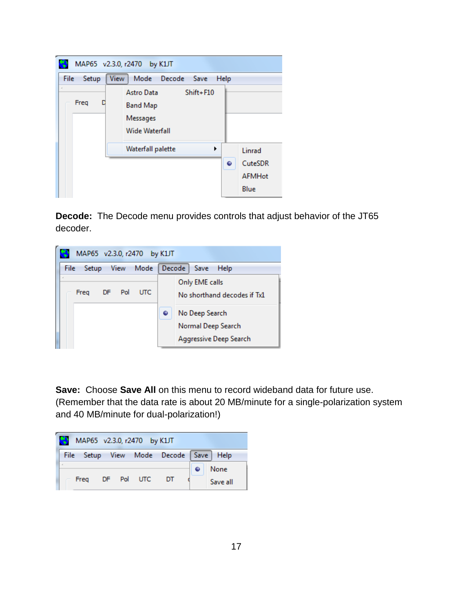|                  | MAP65 v2.3.0, r2470 by K1JT                                              |                                                 |
|------------------|--------------------------------------------------------------------------|-------------------------------------------------|
| File<br>Setup    | Mode Decode Save<br><b>View</b>                                          | Help                                            |
| $\alpha$<br>Freq | Shift+F10<br>Astro Data<br><b>Band Map</b><br>Messages<br>Wide Waterfall |                                                 |
|                  | Waterfall palette<br>▶                                                   | Linrad<br>CuteSDR<br>٠<br><b>AFMHot</b><br>Blue |

**Decode:** The Decode menu provides controls that adjust behavior of the JT65 decoder.



**Save:** Choose **Save All** on this menu to record wideband data for future use. (Remember that the data rate is about 20 MB/minute for a single-polarization system and 40 MB/minute for dual-polarization!)

| м | MAP65 v2.3.0, r2470 by K1JT |  |            |                                       |                  |
|---|-----------------------------|--|------------|---------------------------------------|------------------|
|   |                             |  |            | File Setup View Mode Decode Save Help |                  |
|   | Frea                        |  | DF Pol UTC | DT                                    | None<br>Save all |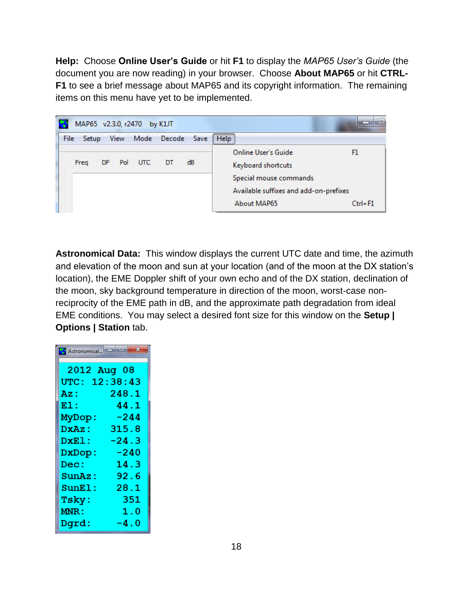**Help:** Choose **Online User's Guide** or hit **F1** to display the *MAP65 User's Guide* (the document you are now reading) in your browser. Choose **About MAP65** or hit **CTRL-F1** to see a brief message about MAP65 and its copyright information. The remaining items on this menu have yet to be implemented.

| MAP65 v2.3.0, r2470 by K1JT                             |                                                                                                                                                   |
|---------------------------------------------------------|---------------------------------------------------------------------------------------------------------------------------------------------------|
| File<br>Mode Decode Save<br><b>View</b><br><b>Setup</b> | Help                                                                                                                                              |
| DF Pol UTC DT dB<br>Freq                                | Online User's Guide<br>F1<br>Keyboard shortcuts<br>Special mouse commands<br>Available suffixes and add-on-prefixes<br>About MAP65<br>$Ctrl + F1$ |

**Astronomical Data:** This window displays the current UTC date and time, the azimuth and elevation of the moon and sun at your location (and of the moon at the DX station's location), the EME Doppler shift of your own echo and of the DX station, declination of the moon, sky background temperature in direction of the moon, worst-case nonreciprocity of the EME path in dB, and the approximate path degradation from ideal EME conditions. You may select a desired font size for this window on the **Setup | Options | Station** tab.

| 2012 Aug 08   |         |
|---------------|---------|
| UTC: 12:38:43 |         |
| Az :          | 248.1   |
| E1:           | 44.1    |
| MyDop:        | -244    |
| DxAz:         | 315.8   |
| DxEl:         | $-24.3$ |
| DxDop:        | -240    |
| Dec:          | 14.3    |
| SunAz:        | 92.6    |
| SumE1:        | 28.1    |
| Tsky:         | 351     |
| MNR:          | 1.0     |
| Dqrd:         | -4.0    |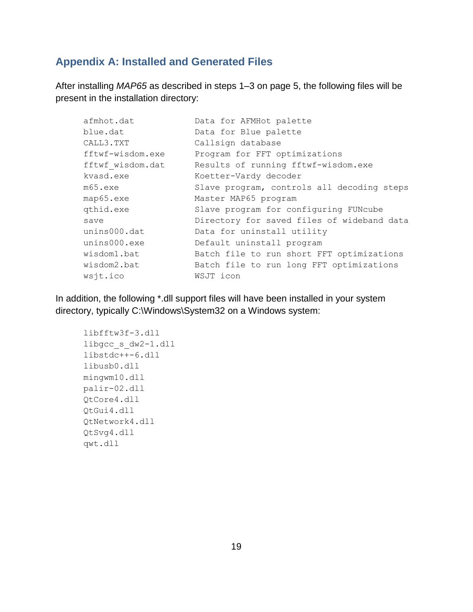## <span id="page-18-0"></span>**Appendix A: Installed and Generated Files**

After installing *MAP65* as described in steps 1–3 on page 5, the following files will be present in the installation directory:

| afmhot.dat       | Data for AFMHot palette                    |
|------------------|--------------------------------------------|
| blue.dat         | Data for Blue palette                      |
| CALL3.TXT        | Callsign database                          |
| fftwf-wisdom.exe | Program for FFT optimizations              |
| fftwf wisdom.dat | Results of running fftwf-wisdom.exe        |
| kvasd.exe        | Koetter-Vardy decoder                      |
| m65.exe          | Slave program, controls all decoding steps |
| map65.exe        | Master MAP65 program                       |
| qthid.exe        | Slave program for configuring FUNcube      |
| save             | Directory for saved files of wideband data |
| unins000.dat     | Data for uninstall utility                 |
| unins000.exe     | Default uninstall program                  |
| wisdom1.bat      | Batch file to run short FFT optimizations  |
| wisdom2.bat      | Batch file to run long FFT optimizations   |
| wsjt.ico         | WSJT icon                                  |

In addition, the following \*.dll support files will have been installed in your system directory, typically C:\Windows\System32 on a Windows system:

```
libfftw3f-3.dll
libgcc_s_dw2-1.dll
libstdc++-6.dll
libusb0.dll
mingwm10.dll
palir-02.dll
QtCore4.dll
QtGui4.dll
QtNetwork4.dll
QtSvg4.dll
qwt.dll
```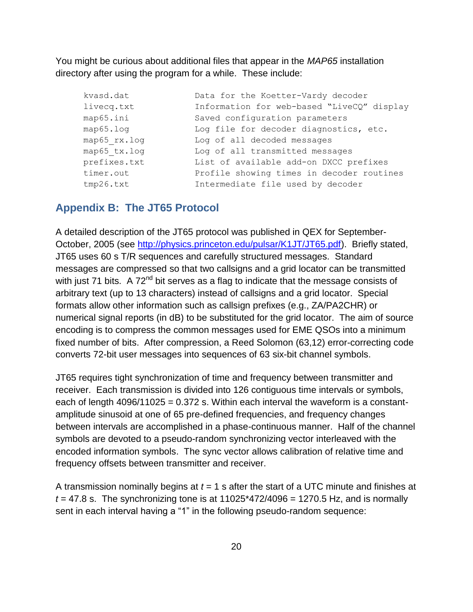You might be curious about additional files that appear in the *MAP65* installation directory after using the program for a while. These include:

| kvasd.dat    | Data for the Koetter-Vardy decoder         |
|--------------|--------------------------------------------|
| livecq.txt   | Information for web-based "LiveCQ" display |
| map65.ini    | Saved configuration parameters             |
| map65.log    | Log file for decoder diagnostics, etc.     |
| map65 rx.log | Log of all decoded messages                |
| map65 tx.log | Log of all transmitted messages            |
| prefixes.txt | List of available add-on DXCC prefixes     |
| timer.out    | Profile showing times in decoder routines  |
| tmp26.txt    | Intermediate file used by decoder          |

#### <span id="page-19-0"></span>**Appendix B: The JT65 Protocol**

A detailed description of the JT65 protocol was published in QEX for September-October, 2005 (see [http://physics.princeton.edu/pulsar/K1JT/JT65.pdf\)](http://physics.princeton.edu/pulsar/K1JT/JT65.pdf). Briefly stated, JT65 uses 60 s T/R sequences and carefully structured messages. Standard messages are compressed so that two callsigns and a grid locator can be transmitted with just 71 bits. A 72<sup>nd</sup> bit serves as a flag to indicate that the message consists of arbitrary text (up to 13 characters) instead of callsigns and a grid locator. Special formats allow other information such as callsign prefixes (e.g., ZA/PA2CHR) or numerical signal reports (in dB) to be substituted for the grid locator. The aim of source encoding is to compress the common messages used for EME QSOs into a minimum fixed number of bits. After compression, a Reed Solomon (63,12) error-correcting code converts 72-bit user messages into sequences of 63 six-bit channel symbols.

JT65 requires tight synchronization of time and frequency between transmitter and receiver. Each transmission is divided into 126 contiguous time intervals or symbols, each of length  $4096/11025 = 0.372$  s. Within each interval the waveform is a constantamplitude sinusoid at one of 65 pre-defined frequencies, and frequency changes between intervals are accomplished in a phase-continuous manner. Half of the channel symbols are devoted to a pseudo-random synchronizing vector interleaved with the encoded information symbols. The sync vector allows calibration of relative time and frequency offsets between transmitter and receiver.

A transmission nominally begins at *t* = 1 s after the start of a UTC minute and finishes at  $t = 47.8$  s. The synchronizing tone is at  $11025*472/4096 = 1270.5$  Hz, and is normally sent in each interval having a "1" in the following pseudo-random sequence: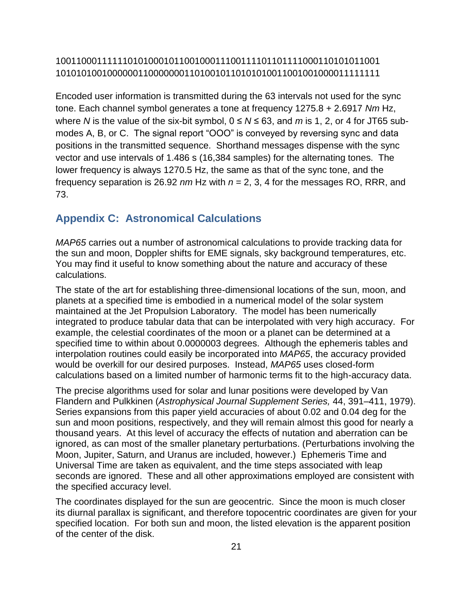### 100110001111110101000101100100011100111101101111000110101011001 101010100100000011000000011010010110101010011001001000011111111

Encoded user information is transmitted during the 63 intervals not used for the sync tone. Each channel symbol generates a tone at frequency 1275.8 + 2.6917 *Nm* Hz, where *N* is the value of the six-bit symbol,  $0 \le N \le 63$ , and *m* is 1, 2, or 4 for JT65 submodes A, B, or C. The signal report "OOO" is conveyed by reversing sync and data positions in the transmitted sequence. Shorthand messages dispense with the sync vector and use intervals of 1.486 s (16,384 samples) for the alternating tones. The lower frequency is always 1270.5 Hz, the same as that of the sync tone, and the frequency separation is 26.92 *nm* Hz with *n* = 2, 3, 4 for the messages RO, RRR, and 73.

## <span id="page-20-0"></span>**Appendix C: Astronomical Calculations**

*MAP65* carries out a number of astronomical calculations to provide tracking data for the sun and moon, Doppler shifts for EME signals, sky background temperatures, etc. You may find it useful to know something about the nature and accuracy of these calculations.

The state of the art for establishing three-dimensional locations of the sun, moon, and planets at a specified time is embodied in a numerical model of the solar system maintained at the Jet Propulsion Laboratory. The model has been numerically integrated to produce tabular data that can be interpolated with very high accuracy. For example, the celestial coordinates of the moon or a planet can be determined at a specified time to within about 0.0000003 degrees. Although the ephemeris tables and interpolation routines could easily be incorporated into *MAP65*, the accuracy provided would be overkill for our desired purposes. Instead, *MAP65* uses closed-form calculations based on a limited number of harmonic terms fit to the high-accuracy data.

The precise algorithms used for solar and lunar positions were developed by Van Flandern and Pulkkinen (*Astrophysical Journal Supplement Series,* 44, 391–411, 1979). Series expansions from this paper yield accuracies of about 0.02 and 0.04 deg for the sun and moon positions, respectively, and they will remain almost this good for nearly a thousand years. At this level of accuracy the effects of nutation and aberration can be ignored, as can most of the smaller planetary perturbations. (Perturbations involving the Moon, Jupiter, Saturn, and Uranus are included, however.) Ephemeris Time and Universal Time are taken as equivalent, and the time steps associated with leap seconds are ignored. These and all other approximations employed are consistent with the specified accuracy level.

The coordinates displayed for the sun are geocentric. Since the moon is much closer its diurnal parallax is significant, and therefore topocentric coordinates are given for your specified location. For both sun and moon, the listed elevation is the apparent position of the center of the disk.